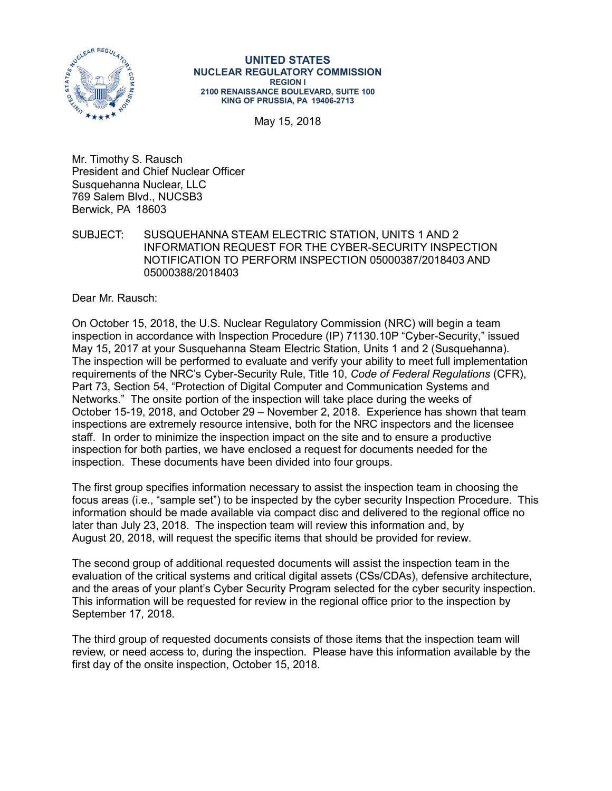

#### **UNITED STATES NUCLEAR REGULATORY COMMISSION REGION I 2100 RENAISSANCE BOULEVARD, SUITE 100 KING OF PRUSSIA, PA 19406-2713**

May 15, 2018

Mr. Timothy S. Rausch President and Chief Nuclear Officer Susquehanna Nuclear, LLC 769 Salem Blvd., NUCSB3 Berwick, PA 18603

SUBJECT: SUSQUEHANNA STEAM ELECTRIC STATION, UNITS 1 AND 2 INFORMATION REQUEST FOR THE CYBER-SECURITY INSPECTION NOTIFICATION TO PERFORM INSPECTION 05000387/2018403 AND 05000388/2018403

Dear Mr. Rausch:

On October 15, 2018, the U.S. Nuclear Regulatory Commission (NRC) will begin a team inspection in accordance with Inspection Procedure (IP) 71130.10P "Cyber-Security," issued May 15, 2017 at your Susquehanna Steam Electric Station, Units 1 and 2 (Susquehanna). The inspection will be performed to evaluate and verify your ability to meet full implementation requirements of the NRC's Cyber-Security Rule, Title 10, *Code of Federal Regulations* (CFR), Part 73, Section 54, "Protection of Digital Computer and Communication Systems and Networks." The onsite portion of the inspection will take place during the weeks of October 15-19, 2018, and October 29 – November 2, 2018. Experience has shown that team inspections are extremely resource intensive, both for the NRC inspectors and the licensee staff. In order to minimize the inspection impact on the site and to ensure a productive inspection for both parties, we have enclosed a request for documents needed for the inspection. These documents have been divided into four groups.

The first group specifies information necessary to assist the inspection team in choosing the focus areas (i.e., "sample set") to be inspected by the cyber security Inspection Procedure. This information should be made available via compact disc and delivered to the regional office no later than July 23, 2018. The inspection team will review this information and, by August 20, 2018, will request the specific items that should be provided for review.

The second group of additional requested documents will assist the inspection team in the evaluation of the critical systems and critical digital assets (CSs/CDAs), defensive architecture, and the areas of your plant's Cyber Security Program selected for the cyber security inspection. This information will be requested for review in the regional office prior to the inspection by September 17, 2018.

The third group of requested documents consists of those items that the inspection team will review, or need access to, during the inspection. Please have this information available by the first day of the onsite inspection, October 15, 2018.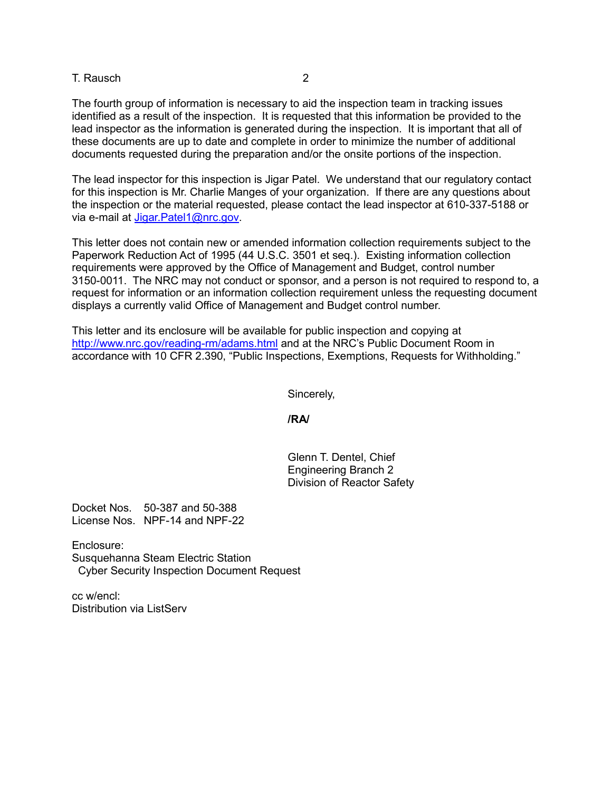T. Rausch 2

The fourth group of information is necessary to aid the inspection team in tracking issues identified as a result of the inspection. It is requested that this information be provided to the lead inspector as the information is generated during the inspection. It is important that all of these documents are up to date and complete in order to minimize the number of additional documents requested during the preparation and/or the onsite portions of the inspection.

The lead inspector for this inspection is Jigar Patel. We understand that our regulatory contact for this inspection is Mr. Charlie Manges of your organization. If there are any questions about the inspection or the material requested, please contact the lead inspector at 610-337-5188 or via e-mail at [Jigar.Patel1@nrc.gov.](mailto:Jigar.Patel1@nrc.gov)

This letter does not contain new or amended information collection requirements subject to the Paperwork Reduction Act of 1995 (44 U.S.C. 3501 et seq.). Existing information collection requirements were approved by the Office of Management and Budget, control number 3150-0011. The NRC may not conduct or sponsor, and a person is not required to respond to, a request for information or an information collection requirement unless the requesting document displays a currently valid Office of Management and Budget control number.

This letter and its enclosure will be available for public inspection and copying at http://www.nrc.gov/reading-rm/adams.html and at the NRC's Public Document Room in accordance with 10 CFR 2.390, "Public Inspections, Exemptions, Requests for Withholding."

Sincerely,

**/RA/**

Glenn T. Dentel, Chief Engineering Branch 2 Division of Reactor Safety

Docket Nos. 50-387 and 50-388 License Nos. NPF-14 and NPF-22

Enclosure: Susquehanna Steam Electric Station Cyber Security Inspection Document Request

cc w/encl: Distribution via ListServ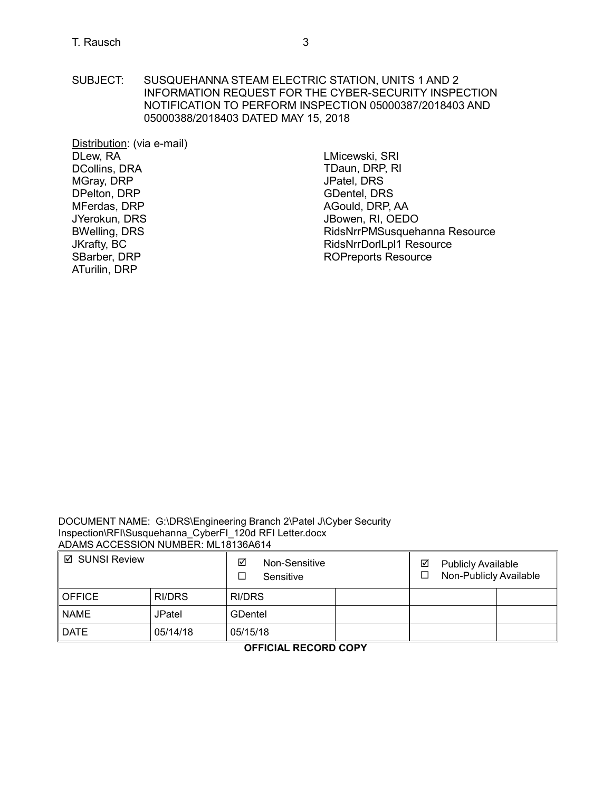SUBJECT: SUSQUEHANNA STEAM ELECTRIC STATION, UNITS 1 AND 2 INFORMATION REQUEST FOR THE CYBER-SECURITY INSPECTION NOTIFICATION TO PERFORM INSPECTION 05000387/2018403 AND 05000388/2018403 DATED MAY 15, 2018

Distribution: (via e-mail) DLew, RA DCollins, DRA MGray, DRP DPelton, DRP MFerdas, DRP JYerokun, DRS BWelling, DRS JKrafty, BC SBarber, DRP ATurilin, DRP

LMicewski, SRI TDaun, DRP, RI JPatel, DRS GDentel, DRS AGould, DRP, AA JBowen, RI, OEDO RidsNrrPMSusquehanna Resource RidsNrrDorlLpl1 Resource ROPreports Resource

DOCUMENT NAME: G:\DRS\Engineering Branch 2\Patel J\Cyber Security Inspection\RFI\Susquehanna\_CyberFI\_120d RFI Letter.docx ADAMS ACCESSION NUMBER: ML18136A614

| ⊠ SUNSI Review |               | ☑<br>Non-Sensitive<br>Sensitive | ☑<br><b>Publicly Available</b><br>Non-Publicly Available |
|----------------|---------------|---------------------------------|----------------------------------------------------------|
| <b>OFFICE</b>  | RI/DRS        | <b>RI/DRS</b>                   |                                                          |
| <b>NAME</b>    | <b>JPatel</b> | <b>GDentel</b>                  |                                                          |
| <b>DATE</b>    | 05/14/18      | 05/15/18                        |                                                          |

**OFFICIAL RECORD COPY**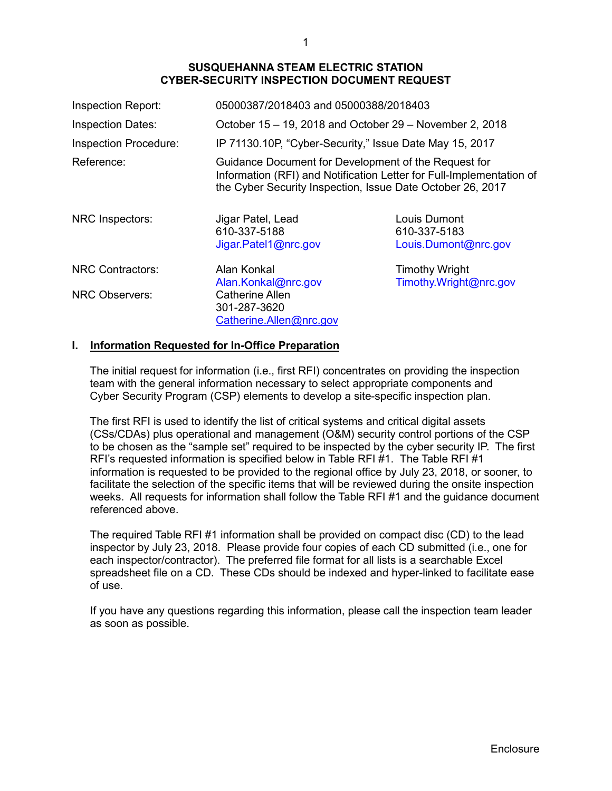| Inspection Report:           | 05000387/2018403 and 05000388/2018403                                                                                                                                                      |                                                      |
|------------------------------|--------------------------------------------------------------------------------------------------------------------------------------------------------------------------------------------|------------------------------------------------------|
| <b>Inspection Dates:</b>     | October 15 – 19, 2018 and October 29 – November 2, 2018                                                                                                                                    |                                                      |
| <b>Inspection Procedure:</b> | IP 71130.10P, "Cyber-Security," Issue Date May 15, 2017                                                                                                                                    |                                                      |
| Reference:                   | Guidance Document for Development of the Request for<br>Information (RFI) and Notification Letter for Full-Implementation of<br>the Cyber Security Inspection, Issue Date October 26, 2017 |                                                      |
| NRC Inspectors:              | Jigar Patel, Lead<br>610-337-5188<br>Jigar.Patel1@nrc.gov                                                                                                                                  | Louis Dumont<br>610-337-5183<br>Louis.Dumont@nrc.gov |
| <b>NRC Contractors:</b>      | Alan Konkal<br>Alan.Konkal@nrc.gov                                                                                                                                                         | <b>Timothy Wright</b><br>Timothy.Wright@nrc.gov      |
| <b>NRC Observers:</b>        | <b>Catherine Allen</b><br>301-287-3620<br>Catherine.Allen@nrc.gov                                                                                                                          |                                                      |

### **I. Information Requested for In-Office Preparation**

The initial request for information (i.e., first RFI) concentrates on providing the inspection team with the general information necessary to select appropriate components and Cyber Security Program (CSP) elements to develop a site-specific inspection plan.

The first RFI is used to identify the list of critical systems and critical digital assets (CSs/CDAs) plus operational and management (O&M) security control portions of the CSP to be chosen as the "sample set" required to be inspected by the cyber security IP. The first RFI's requested information is specified below in Table RFI #1. The Table RFI #1 information is requested to be provided to the regional office by July 23, 2018, or sooner, to facilitate the selection of the specific items that will be reviewed during the onsite inspection weeks. All requests for information shall follow the Table RFI #1 and the guidance document referenced above.

The required Table RFI #1 information shall be provided on compact disc (CD) to the lead inspector by July 23, 2018. Please provide four copies of each CD submitted (i.e., one for each inspector/contractor). The preferred file format for all lists is a searchable Excel spreadsheet file on a CD. These CDs should be indexed and hyper-linked to facilitate ease of use.

If you have any questions regarding this information, please call the inspection team leader as soon as possible.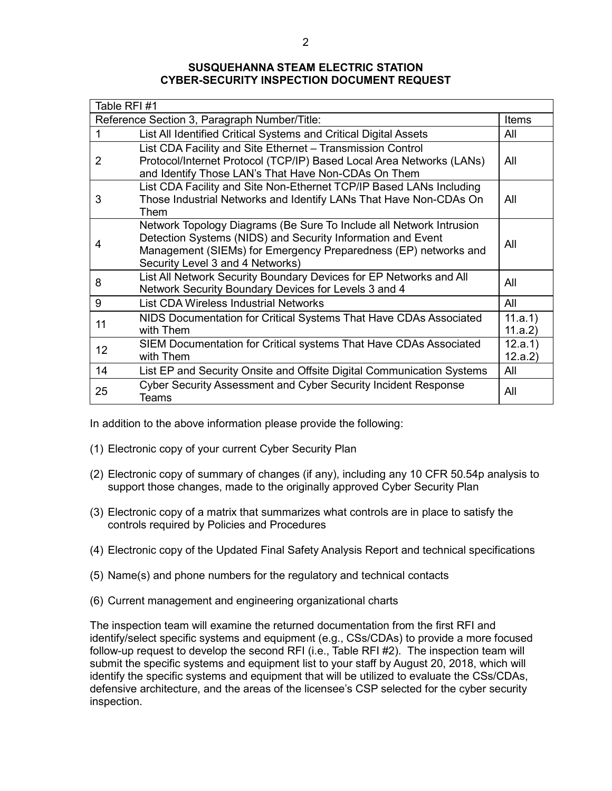| Table RFI#1                                  |                                                                                                                                                                                                                                           |                    |  |
|----------------------------------------------|-------------------------------------------------------------------------------------------------------------------------------------------------------------------------------------------------------------------------------------------|--------------------|--|
| Reference Section 3, Paragraph Number/Title: |                                                                                                                                                                                                                                           |                    |  |
| 1                                            | List All Identified Critical Systems and Critical Digital Assets                                                                                                                                                                          | All                |  |
| 2                                            | List CDA Facility and Site Ethernet - Transmission Control<br>Protocol/Internet Protocol (TCP/IP) Based Local Area Networks (LANs)<br>and Identify Those LAN's That Have Non-CDAs On Them                                                 | All                |  |
| 3                                            | List CDA Facility and Site Non-Ethernet TCP/IP Based LANs Including<br>Those Industrial Networks and Identify LANs That Have Non-CDAs On<br>Them                                                                                          | All                |  |
| 4                                            | Network Topology Diagrams (Be Sure To Include all Network Intrusion<br>Detection Systems (NIDS) and Security Information and Event<br>Management (SIEMs) for Emergency Preparedness (EP) networks and<br>Security Level 3 and 4 Networks) | All                |  |
| 8                                            | List All Network Security Boundary Devices for EP Networks and All<br>Network Security Boundary Devices for Levels 3 and 4                                                                                                                | All                |  |
| 9                                            | List CDA Wireless Industrial Networks                                                                                                                                                                                                     | All                |  |
| 11                                           | NIDS Documentation for Critical Systems That Have CDAs Associated<br>with Them                                                                                                                                                            | 11.a.1)<br>11.a.2) |  |
| 12 <sub>2</sub>                              | SIEM Documentation for Critical systems That Have CDAs Associated<br>with Them                                                                                                                                                            | 12.a.1)<br>12.a.2) |  |
| 14                                           | List EP and Security Onsite and Offsite Digital Communication Systems                                                                                                                                                                     | All                |  |
| 25                                           | <b>Cyber Security Assessment and Cyber Security Incident Response</b><br>Teams                                                                                                                                                            | All                |  |

In addition to the above information please provide the following:

- (1) Electronic copy of your current Cyber Security Plan
- (2) Electronic copy of summary of changes (if any), including any 10 CFR 50.54p analysis to support those changes, made to the originally approved Cyber Security Plan
- (3) Electronic copy of a matrix that summarizes what controls are in place to satisfy the controls required by Policies and Procedures
- (4) Electronic copy of the Updated Final Safety Analysis Report and technical specifications
- (5) Name(s) and phone numbers for the regulatory and technical contacts
- (6) Current management and engineering organizational charts

The inspection team will examine the returned documentation from the first RFI and identify/select specific systems and equipment (e.g., CSs/CDAs) to provide a more focused follow-up request to develop the second RFI (i.e., Table RFI #2). The inspection team will submit the specific systems and equipment list to your staff by August 20, 2018, which will identify the specific systems and equipment that will be utilized to evaluate the CSs/CDAs, defensive architecture, and the areas of the licensee's CSP selected for the cyber security inspection.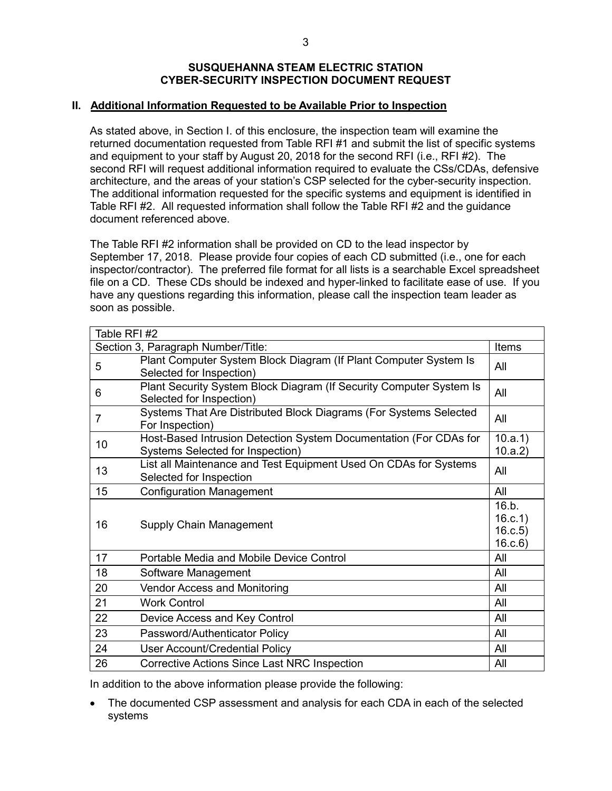### **II. Additional Information Requested to be Available Prior to Inspection**

As stated above, in Section I. of this enclosure, the inspection team will examine the returned documentation requested from Table RFI #1 and submit the list of specific systems and equipment to your staff by August 20, 2018 for the second RFI (i.e., RFI #2). The second RFI will request additional information required to evaluate the CSs/CDAs, defensive architecture, and the areas of your station's CSP selected for the cyber-security inspection. The additional information requested for the specific systems and equipment is identified in Table RFI #2. All requested information shall follow the Table RFI #2 and the guidance document referenced above.

The Table RFI #2 information shall be provided on CD to the lead inspector by September 17, 2018. Please provide four copies of each CD submitted (i.e., one for each inspector/contractor). The preferred file format for all lists is a searchable Excel spreadsheet file on a CD. These CDs should be indexed and hyper-linked to facilitate ease of use. If you have any questions regarding this information, please call the inspection team leader as soon as possible.

| Table RFI #2                       |                                                                                                       |                                       |
|------------------------------------|-------------------------------------------------------------------------------------------------------|---------------------------------------|
| Section 3, Paragraph Number/Title: |                                                                                                       | <b>Items</b>                          |
| 5                                  | Plant Computer System Block Diagram (If Plant Computer System Is<br>Selected for Inspection)          | All                                   |
| 6                                  | Plant Security System Block Diagram (If Security Computer System Is<br>Selected for Inspection)       | All                                   |
| $\overline{7}$                     | Systems That Are Distributed Block Diagrams (For Systems Selected<br>For Inspection)                  | All                                   |
| 10                                 | Host-Based Intrusion Detection System Documentation (For CDAs for<br>Systems Selected for Inspection) | 10.a.1)<br>10.a.2)                    |
| 13                                 | List all Maintenance and Test Equipment Used On CDAs for Systems<br>Selected for Inspection           | All                                   |
| 15                                 | <b>Configuration Management</b>                                                                       | All                                   |
| 16                                 | Supply Chain Management                                                                               | 16.b.<br>16.c.1)<br>16.c.5)<br>16.c.6 |
| 17                                 | Portable Media and Mobile Device Control                                                              | All                                   |
| 18                                 | Software Management                                                                                   | All                                   |
| 20                                 | <b>Vendor Access and Monitoring</b>                                                                   | All                                   |
| 21                                 | <b>Work Control</b>                                                                                   | All                                   |
| 22                                 | Device Access and Key Control                                                                         | All                                   |
| 23                                 | Password/Authenticator Policy                                                                         | All                                   |
| 24                                 | <b>User Account/Credential Policy</b>                                                                 | All                                   |
| 26                                 | Corrective Actions Since Last NRC Inspection                                                          | All                                   |

In addition to the above information please provide the following:

The documented CSP assessment and analysis for each CDA in each of the selected systems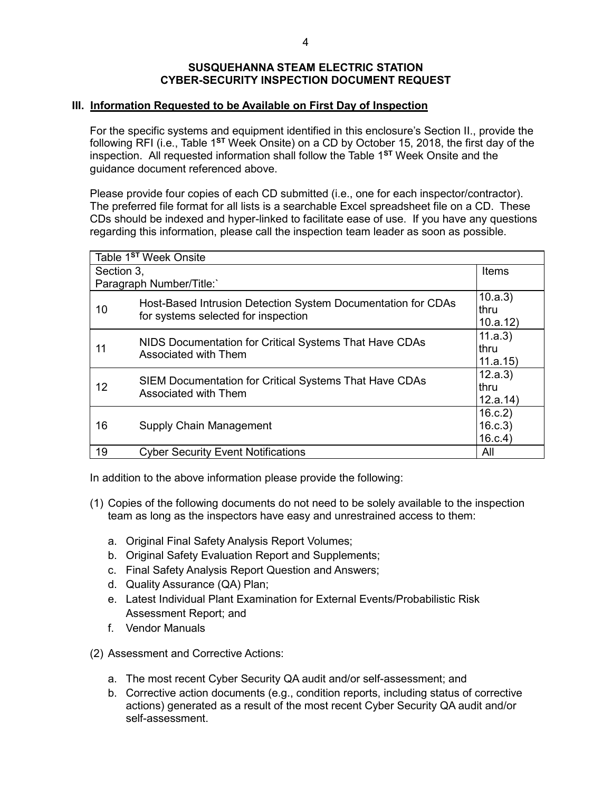### **III. Information Requested to be Available on First Day of Inspection**

For the specific systems and equipment identified in this enclosure's Section II., provide the following RFI (i.e., Table 1**ST** Week Onsite) on a CD by October 15, 2018, the first day of the inspection. All requested information shall follow the Table 1**ST** Week Onsite and the guidance document referenced above.

Please provide four copies of each CD submitted (i.e., one for each inspector/contractor). The preferred file format for all lists is a searchable Excel spreadsheet file on a CD. These CDs should be indexed and hyper-linked to facilitate ease of use. If you have any questions regarding this information, please call the inspection team leader as soon as possible.

| Table 1 <sup>st</sup> Week Onsite |                                                                                                     |                             |  |  |
|-----------------------------------|-----------------------------------------------------------------------------------------------------|-----------------------------|--|--|
| Section 3.                        | Items                                                                                               |                             |  |  |
| Paragraph Number/Title:           |                                                                                                     |                             |  |  |
| 10                                | Host-Based Intrusion Detection System Documentation for CDAs<br>for systems selected for inspection | 10.a.3<br>thru<br>10.a.12   |  |  |
| 11                                | NIDS Documentation for Critical Systems That Have CDAs<br>Associated with Them                      | 11.a.3)<br>thru<br>11.a.15  |  |  |
| 12                                | SIEM Documentation for Critical Systems That Have CDAs<br>Associated with Them                      | 12.a.3)<br>thru<br>12.a.14  |  |  |
| 16                                | Supply Chain Management                                                                             | 16.c.2<br>16.c.3<br>16.c.4) |  |  |
| 19                                | <b>Cyber Security Event Notifications</b>                                                           | All                         |  |  |

In addition to the above information please provide the following:

- (1) Copies of the following documents do not need to be solely available to the inspection team as long as the inspectors have easy and unrestrained access to them:
	- a. Original Final Safety Analysis Report Volumes;
	- b. Original Safety Evaluation Report and Supplements;
	- c. Final Safety Analysis Report Question and Answers;
	- d. Quality Assurance (QA) Plan;
	- e. Latest Individual Plant Examination for External Events/Probabilistic Risk Assessment Report; and
	- f. Vendor Manuals
- (2) Assessment and Corrective Actions:
	- a. The most recent Cyber Security QA audit and/or self-assessment; and
	- b. Corrective action documents (e.g., condition reports, including status of corrective actions) generated as a result of the most recent Cyber Security QA audit and/or self-assessment.